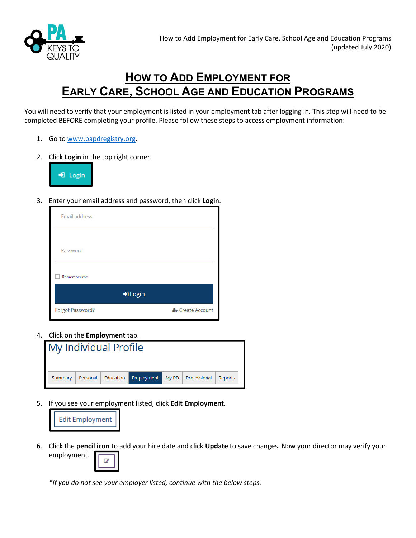

## **HOW TO ADD EMPLOYMENT FOR EARLY CARE, SCHOOL AGE AND EDUCATION PROGRAMS**

You will need to verify that your employment is listed in your employment tab after logging in. This step will need to be completed BEFORE completing your profile. Please follow these steps to access employment information:

- 1. Go to www.papdregistry.org.
- 2. Click **Login** in the top right corner.



3. Enter your email address and password, then click **Login**.

| Email address      |                  |
|--------------------|------------------|
| Password           |                  |
| <b>Remember me</b> |                  |
| D Login            |                  |
| Forgot Password?   | & Create Account |

4. Click on the **Employment** tab.



5. If you see your employment listed, click **Edit Employment**.



6. Click the **pencil icon** to add your hire date and click **Update** to save changes. Now your director may verify your employment. Ø



*\*If you do not see your employer listed, continue with the below steps.*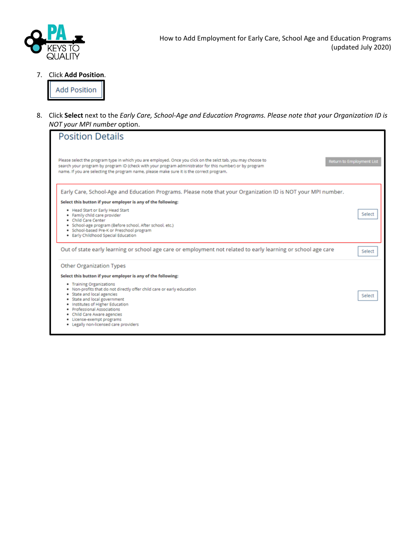

7. Click **Add Position**.

**Add Position** 

8. Click Select next to the Early Care, School-Age and Education Programs. Please note that your Organization ID is *NOT your MPI number* option.

| <b>Position Details</b>                                                                                                                                                                                                                                                                                                                  |                                  |
|------------------------------------------------------------------------------------------------------------------------------------------------------------------------------------------------------------------------------------------------------------------------------------------------------------------------------------------|----------------------------------|
| Please select the program type in which you are employed. Once you click on the selct tab, you may choose to<br>search your program by program ID (check with your program administrator for this number) or by program<br>name. If you are selecting the program name, please make sure it is the correct program.                      | <b>Return to Employment List</b> |
| Early Care, School-Age and Education Programs. Please note that your Organization ID is NOT your MPI number.                                                                                                                                                                                                                             |                                  |
| Select this button if your employer is any of the following:                                                                                                                                                                                                                                                                             |                                  |
| . Head Start or Early Head Start<br>· Family child care provider<br>· Child Care Center<br>· School-age program (Before school, After school, etc.)<br>· School-based Pre-K or Preschool program<br>· Early Childhood Special Education                                                                                                  | Select                           |
| Out of state early learning or school age care or employment not related to early learning or school age care                                                                                                                                                                                                                            | Select                           |
| Other Organization Types                                                                                                                                                                                                                                                                                                                 |                                  |
| Select this button if your employer is any of the following:                                                                                                                                                                                                                                                                             |                                  |
| • Training Organizations<br>. Non-profits that do not directly offer child care or early education<br>· State and local agencies<br>· State and local government<br>. Institutes of Higher Education<br>· Professional Associations<br>· Child Care Aware agencies<br>· License-exempt programs<br>. Legally non-licensed care providers | Select                           |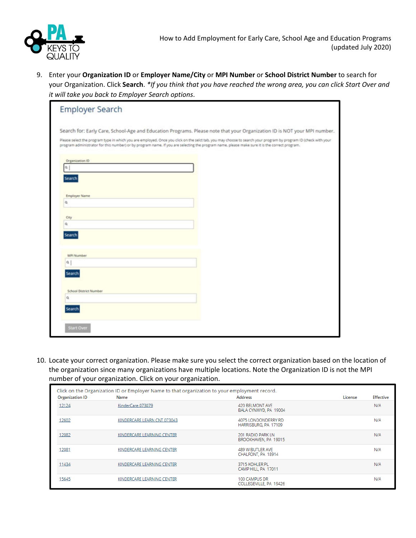

9. Enter your **Organization ID** or **Employer Name/City** or **MPI Number** or **School District Number** to search for your Organization. Click Search. \*If you think that you have reached the wrong area, you can click Start Over and *it will take you back to Employer Search options*.

| Search for: Early Care, School-Age and Education Programs. Please note that your Organization ID is NOT your MPI number.                                                                                                                                                                                         |  |  |
|------------------------------------------------------------------------------------------------------------------------------------------------------------------------------------------------------------------------------------------------------------------------------------------------------------------|--|--|
| Please select the program type in which you are employed. Once you click on the selct tab, you may choose to search your program by program ID (check with your<br>program administrator for this number) or by program name. If you are selecting the program name, please make sure it is the correct program. |  |  |
|                                                                                                                                                                                                                                                                                                                  |  |  |
| Organization ID                                                                                                                                                                                                                                                                                                  |  |  |
| a                                                                                                                                                                                                                                                                                                                |  |  |
| Search                                                                                                                                                                                                                                                                                                           |  |  |
|                                                                                                                                                                                                                                                                                                                  |  |  |
| <b>Employer Name</b>                                                                                                                                                                                                                                                                                             |  |  |
| ٥                                                                                                                                                                                                                                                                                                                |  |  |
| City                                                                                                                                                                                                                                                                                                             |  |  |
| $\alpha$                                                                                                                                                                                                                                                                                                         |  |  |
| Search                                                                                                                                                                                                                                                                                                           |  |  |
|                                                                                                                                                                                                                                                                                                                  |  |  |
| <b>MPI Number</b>                                                                                                                                                                                                                                                                                                |  |  |
| a.                                                                                                                                                                                                                                                                                                               |  |  |
| <b>Search</b>                                                                                                                                                                                                                                                                                                    |  |  |
|                                                                                                                                                                                                                                                                                                                  |  |  |
| <b>School District Number</b>                                                                                                                                                                                                                                                                                    |  |  |
| a                                                                                                                                                                                                                                                                                                                |  |  |
| Search                                                                                                                                                                                                                                                                                                           |  |  |
|                                                                                                                                                                                                                                                                                                                  |  |  |

10. Locate your correct organization. Please make sure you select the correct organization based on the location of the organization since many organizations have multiple locations. Note the Organization ID is not the MPI number of your organization. Click on your organization.

| <b>Organization ID</b> | Click on the Organization ID or Employer Name to that organization to your employment record.<br>Name | Address                                     | License | <b>Effective</b> |
|------------------------|-------------------------------------------------------------------------------------------------------|---------------------------------------------|---------|------------------|
|                        |                                                                                                       |                                             |         |                  |
| 12124                  | KinderCare 073079                                                                                     | 420 BELMONT AVE<br>BALA CYNWYD, PA 19004    |         | N/A              |
| 12602                  | KINDERCARE LEARN CNT 073043                                                                           | 4075 LONDONDERRY RD<br>HARRISBURG, PA 17109 |         | N/A              |
| 12082                  | KINDERCARE LEARNING CENTER                                                                            | 201 RADIO PARK LN<br>BROOKHAVEN, PA 19015   |         | N/A              |
| 12081                  | KINDERCARE LEARNING CENTER                                                                            | 489 W BUTLER AVE<br>CHALFONT, PA 18914      |         | N/A              |
| 11434                  | KINDERCARE LEARNING CENTER                                                                            | 3715 KOHLER PL<br>CAMP HILL, PA 17011       |         | N/A              |
| 15645                  | KINDERCARE LEARNING CENTER                                                                            | 100 CAMPUS DR<br>COLLEGEVILLE, PA 19426     |         | N/A              |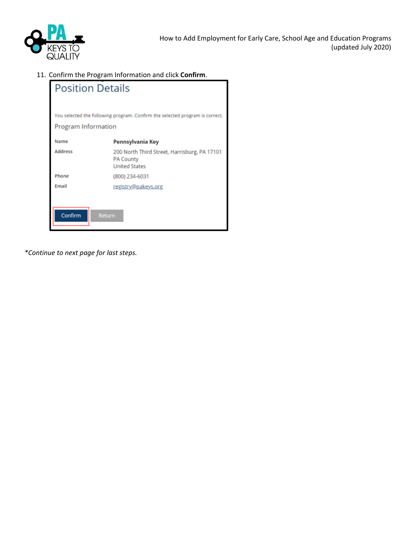

11. Confirm the Program Information and click **Confirm**.

| <b>Position Details</b>                                                                             |                                                                                          |  |
|-----------------------------------------------------------------------------------------------------|------------------------------------------------------------------------------------------|--|
| You selected the following program. Confirm the selected program is correct.<br>Program Information |                                                                                          |  |
| Name                                                                                                | Pennsylvania Key                                                                         |  |
| <b>Address</b>                                                                                      | 200 North Third Street, Harrisburg, PA 17101<br><b>PA County</b><br><b>United States</b> |  |
| Phone                                                                                               | (800) 234-6031                                                                           |  |
| Email                                                                                               | registry@pakeys.org                                                                      |  |
| Confirm<br><b>Return</b>                                                                            |                                                                                          |  |

*\*Continue to next page for last steps.*